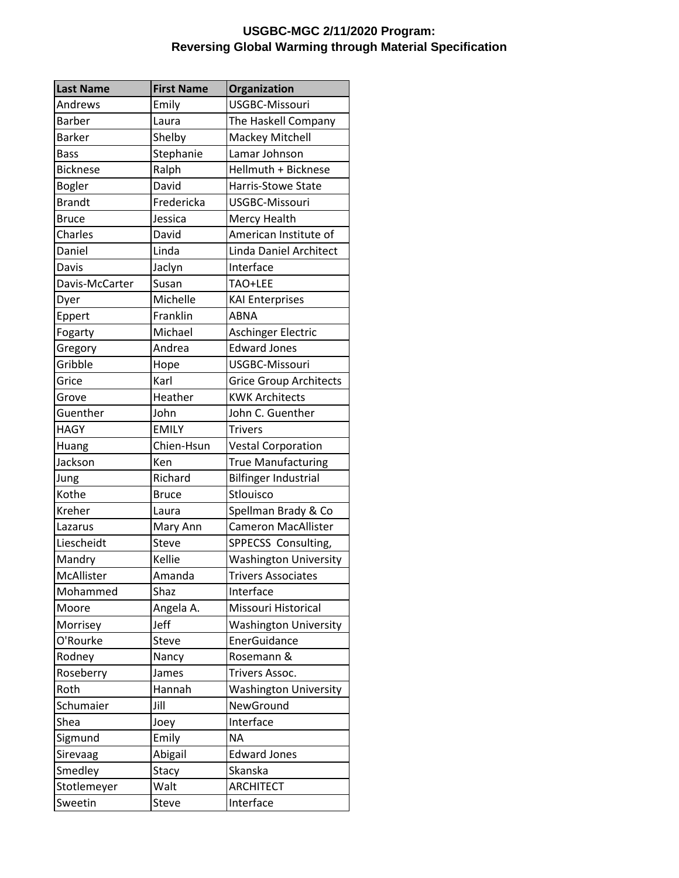## **USGBC-MGC 2/11/2020 Program: Reversing Global Warming through Material Specification**

| <b>Last Name</b> | <b>First Name</b> | Organization                  |
|------------------|-------------------|-------------------------------|
| Andrews          | Emily             | <b>USGBC-Missouri</b>         |
| <b>Barber</b>    | Laura             | The Haskell Company           |
| <b>Barker</b>    | Shelby            | Mackey Mitchell               |
| <b>Bass</b>      | Stephanie         | Lamar Johnson                 |
| <b>Bicknese</b>  | Ralph             | Hellmuth + Bicknese           |
| <b>Bogler</b>    | David             | <b>Harris-Stowe State</b>     |
| <b>Brandt</b>    | Fredericka        | USGBC-Missouri                |
| <b>Bruce</b>     | Jessica           | Mercy Health                  |
| Charles          | David             | American Institute of         |
| Daniel           | Linda             | <b>Linda Daniel Architect</b> |
| Davis            | Jaclyn            | Interface                     |
| Davis-McCarter   | Susan             | TAO+LEE                       |
| Dyer             | Michelle          | <b>KAI Enterprises</b>        |
| Eppert           | Franklin          | <b>ABNA</b>                   |
| Fogarty          | Michael           | Aschinger Electric            |
| Gregory          | Andrea            | <b>Edward Jones</b>           |
| Gribble          | Hope              | USGBC-Missouri                |
| Grice            | Karl              | <b>Grice Group Architects</b> |
| Grove            | Heather           | <b>KWK Architects</b>         |
| Guenther         | John              | John C. Guenther              |
| <b>HAGY</b>      | <b>EMILY</b>      | <b>Trivers</b>                |
| Huang            | Chien-Hsun        | <b>Vestal Corporation</b>     |
| Jackson          | Ken               | <b>True Manufacturing</b>     |
| Jung             | Richard           | <b>Bilfinger Industrial</b>   |
| Kothe            | <b>Bruce</b>      | Stlouisco                     |
| Kreher           | Laura             | Spellman Brady & Co           |
| Lazarus          | Mary Ann          | <b>Cameron MacAllister</b>    |
| Liescheidt       | Steve             | SPPECSS Consulting,           |
| Mandry           | Kellie            | <b>Washington University</b>  |
| McAllister       | Amanda            | <b>Trivers Associates</b>     |
| Mohammed         | Shaz              | Interface                     |
| Moore            | Angela A.         | Missouri Historical           |
| Morrisey         | Jeff              | <b>Washington University</b>  |
| O'Rourke         | Steve             | EnerGuidance                  |
| Rodney           | Nancy             | Rosemann &                    |
| Roseberry        | James             | Trivers Assoc.                |
| Roth             | Hannah            | <b>Washington University</b>  |
| Schumaier        | Jill              | NewGround                     |
| Shea             | Joey              | Interface                     |
| Sigmund          | Emily             | <b>NA</b>                     |
| Sirevaag         | Abigail           | <b>Edward Jones</b>           |
| Smedley          | Stacy             | <b>Skanska</b>                |
| Stotlemeyer      | Walt              | <b>ARCHITECT</b>              |
| Sweetin          | Steve             | Interface                     |